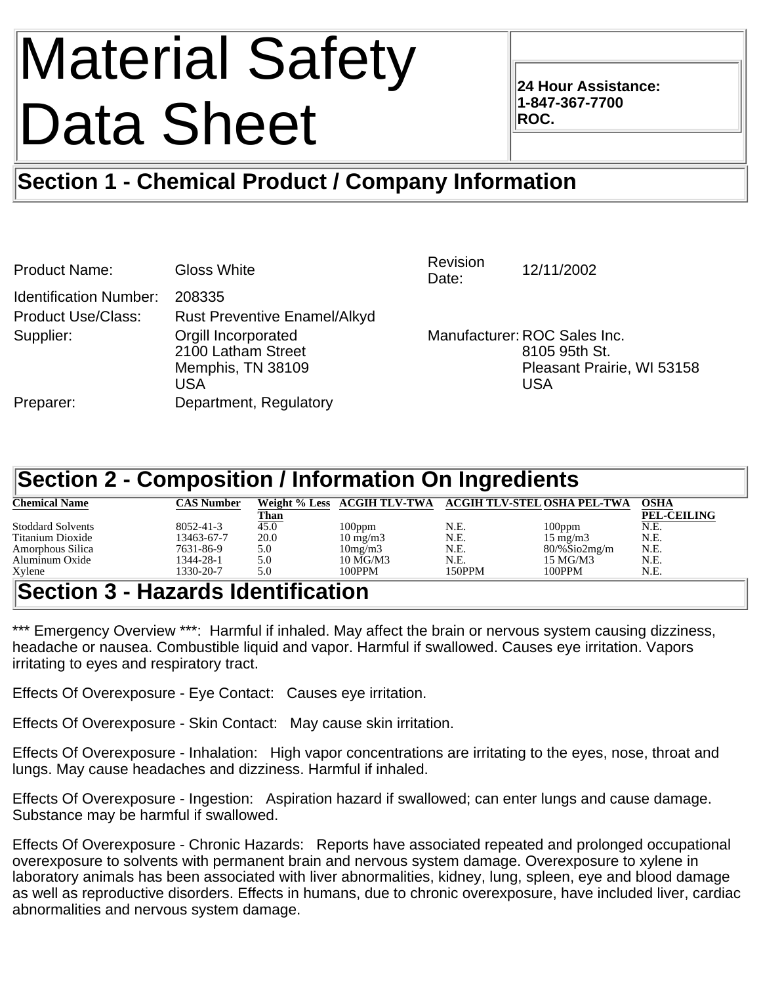# Material Safety Data Sheet

**24 Hour Assistance: 1-847-367-7700 ROC.**

## **Section 1 - Chemical Product / Company Information**

| <b>Product Name:</b>          | <b>Gloss White</b>                                                    | Revision<br>Date: | 12/11/2002                                                                                |
|-------------------------------|-----------------------------------------------------------------------|-------------------|-------------------------------------------------------------------------------------------|
| <b>Identification Number:</b> | 208335                                                                |                   |                                                                                           |
| <b>Product Use/Class:</b>     | <b>Rust Preventive Enamel/Alkyd</b>                                   |                   |                                                                                           |
| Supplier:                     | Orgill Incorporated<br>2100 Latham Street<br>Memphis, TN 38109<br>USA |                   | Manufacturer: ROC Sales Inc.<br>8105 95th St.<br>Pleasant Prairie, WI 53158<br><b>USA</b> |
| Preparer:                     | Department, Regulatory                                                |                   |                                                                                           |

## **Section 2 - Composition / Information On Ingredients**

| <b>Chemical Name</b>     | CAS Number                      |      |                   |        | Weight % Less ACGIH TLV-TWA ACGIH TLV-STEL OSHA PEL-TWA | <b>OSHA</b>        |
|--------------------------|---------------------------------|------|-------------------|--------|---------------------------------------------------------|--------------------|
|                          |                                 | Than |                   |        |                                                         | <b>PEL-CEILING</b> |
| <b>Stoddard Solvents</b> | $8052 - 41 - 3$                 | 45.0 | 100ppm            | N.E.   | $100$ ppm                                               | N.E.               |
| Titanium Dioxide         | 13463-67-7                      | 20.0 | $10 \text{ mg/m}$ | N.E.   | $15 \text{ mg/m}$                                       | N.E.               |
| Amorphous Silica         | 7631-86-9                       | 5.0  | 10mg/m3           | N.E.   | $80\%$ Sio2mg/m                                         | N.E.               |
| Aluminum Oxide           | 1344-28-1                       | 5.0  | 10 MG/M3          | N.E.   | 15 MG/M3                                                | N.E.               |
| Xylene                   | 1330-20-7                       | 5.0  | 100PPM            | 150PPM | 100PPM                                                  | N.E.               |
| $\overline{\mathbf{C}}$  | مرم الممالك الملم الملابس مردما |      |                   |        |                                                         |                    |

## **Section 3 - Hazards Identification**

\*\*\* Emergency Overview \*\*\*: Harmful if inhaled. May affect the brain or nervous system causing dizziness, headache or nausea. Combustible liquid and vapor. Harmful if swallowed. Causes eye irritation. Vapors irritating to eyes and respiratory tract.

Effects Of Overexposure - Eye Contact: Causes eye irritation.

Effects Of Overexposure - Skin Contact: May cause skin irritation.

Effects Of Overexposure - Inhalation: High vapor concentrations are irritating to the eyes, nose, throat and lungs. May cause headaches and dizziness. Harmful if inhaled.

Effects Of Overexposure - Ingestion: Aspiration hazard if swallowed; can enter lungs and cause damage. Substance may be harmful if swallowed.

Effects Of Overexposure - Chronic Hazards: Reports have associated repeated and prolonged occupational overexposure to solvents with permanent brain and nervous system damage. Overexposure to xylene in laboratory animals has been associated with liver abnormalities, kidney, lung, spleen, eye and blood damage as well as reproductive disorders. Effects in humans, due to chronic overexposure, have included liver, cardiac abnormalities and nervous system damage.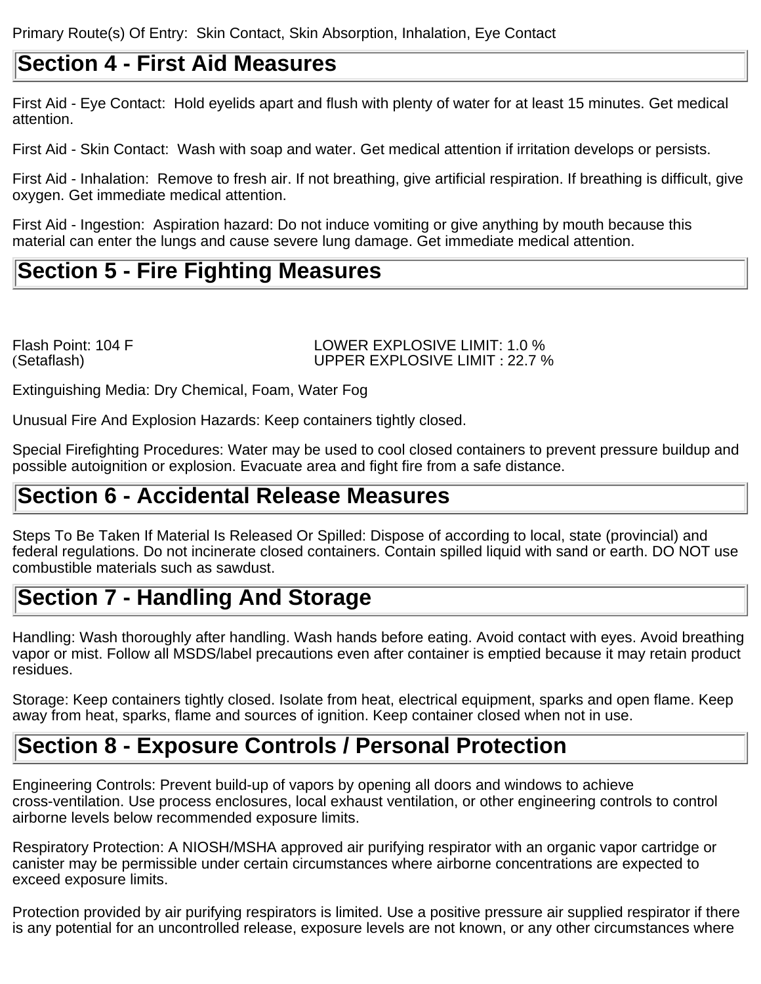## **Section 4 - First Aid Measures**

First Aid - Eye Contact: Hold eyelids apart and flush with plenty of water for at least 15 minutes. Get medical attention.

First Aid - Skin Contact: Wash with soap and water. Get medical attention if irritation develops or persists.

First Aid - Inhalation: Remove to fresh air. If not breathing, give artificial respiration. If breathing is difficult, give oxygen. Get immediate medical attention.

First Aid - Ingestion: Aspiration hazard: Do not induce vomiting or give anything by mouth because this material can enter the lungs and cause severe lung damage. Get immediate medical attention.

## **Section 5 - Fire Fighting Measures**

Flash Point: 104 F LOWER EXPLOSIVE LIMIT: 1.0 % (Setaflash) UPPER EXPLOSIVE LIMIT : 22.7 %

Extinguishing Media: Dry Chemical, Foam, Water Fog

Unusual Fire And Explosion Hazards: Keep containers tightly closed.

Special Firefighting Procedures: Water may be used to cool closed containers to prevent pressure buildup and possible autoignition or explosion. Evacuate area and fight fire from a safe distance.

## **Section 6 - Accidental Release Measures**

Steps To Be Taken If Material Is Released Or Spilled: Dispose of according to local, state (provincial) and federal regulations. Do not incinerate closed containers. Contain spilled liquid with sand or earth. DO NOT use combustible materials such as sawdust.

## **Section 7 - Handling And Storage**

Handling: Wash thoroughly after handling. Wash hands before eating. Avoid contact with eyes. Avoid breathing vapor or mist. Follow all MSDS/label precautions even after container is emptied because it may retain product residues.

Storage: Keep containers tightly closed. Isolate from heat, electrical equipment, sparks and open flame. Keep away from heat, sparks, flame and sources of ignition. Keep container closed when not in use.

## **Section 8 - Exposure Controls / Personal Protection**

Engineering Controls: Prevent build-up of vapors by opening all doors and windows to achieve cross-ventilation. Use process enclosures, local exhaust ventilation, or other engineering controls to control airborne levels below recommended exposure limits.

Respiratory Protection: A NIOSH/MSHA approved air purifying respirator with an organic vapor cartridge or canister may be permissible under certain circumstances where airborne concentrations are expected to exceed exposure limits.

Protection provided by air purifying respirators is limited. Use a positive pressure air supplied respirator if there is any potential for an uncontrolled release, exposure levels are not known, or any other circumstances where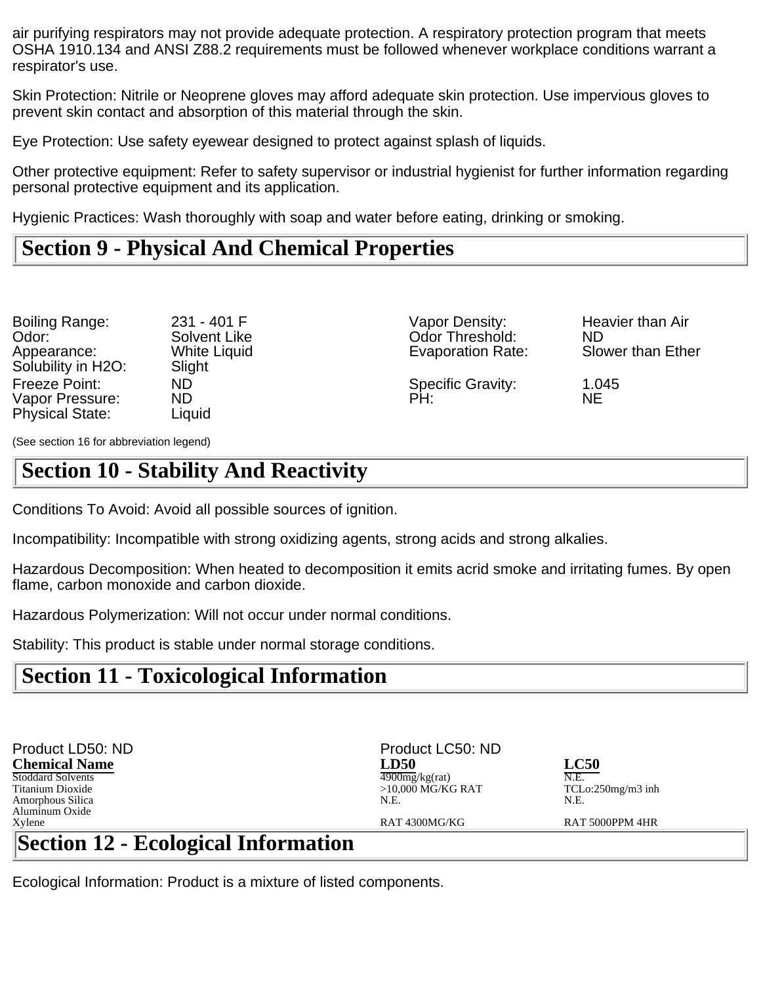air purifying respirators may not provide adequate protection. A respiratory protection program that meets OSHA 1910.134 and ANSI Z88.2 requirements must be followed whenever workplace conditions warrant a respirator's use.

Skin Protection: Nitrile or Neoprene gloves may afford adequate skin protection. Use impervious gloves to prevent skin contact and absorption of this material through the skin.

Eye Protection: Use safety eyewear designed to protect against splash of liquids.

Other protective equipment: Refer to safety supervisor or industrial hygienist for further information regarding personal protective equipment and its application.

Hygienic Practices: Wash thoroughly with soap and water before eating, drinking or smoking.

## **Section 9 - Physical And Chemical Properties**

| Boiling Range:                    | 231 - 401 F                   | Vapor Density:           | He        |
|-----------------------------------|-------------------------------|--------------------------|-----------|
| Odor:                             | Solvent Like                  | <b>Odor Threshold:</b>   | <b>ND</b> |
| Appearance:<br>Solubility in H2O: | <b>White Liquid</b><br>Slight | <b>Evaporation Rate:</b> | Slo       |
| Freeze Point:                     | ND.                           | <b>Specific Gravity:</b> | 1.0       |
| Vapor Pressure:                   | ND                            | PH:                      | NΕ        |
| <b>Physical State:</b>            | Liauid                        |                          |           |

31 - 401 F Vapor Density: Heavier than Air<br>:olvent Like Odor Threshold: ND Vhite Liquid **Evaporation Rate:** 

Odor Threshold: ND<br>
Evaporation Rate: Slower than Ether

(See section 16 for abbreviation legend)

## **Section 10 - Stability And Reactivity**

Conditions To Avoid: Avoid all possible sources of ignition.

Incompatibility: Incompatible with strong oxidizing agents, strong acids and strong alkalies.

Hazardous Decomposition: When heated to decomposition it emits acrid smoke and irritating fumes. By open flame, carbon monoxide and carbon dioxide.

Hazardous Polymerization: Will not occur under normal conditions.

Stability: This product is stable under normal storage conditions.

## **Section 11 - Toxicological Information**

| Product LD50: ND                                                                                                                                                                                                                                                                                                                                                                                                                                                                                                                                                                | Product LC50: ND    |                     |
|---------------------------------------------------------------------------------------------------------------------------------------------------------------------------------------------------------------------------------------------------------------------------------------------------------------------------------------------------------------------------------------------------------------------------------------------------------------------------------------------------------------------------------------------------------------------------------|---------------------|---------------------|
| <b>Chemical Name</b>                                                                                                                                                                                                                                                                                                                                                                                                                                                                                                                                                            | <b>LD50</b>         | <b>LC50</b>         |
| Stoddard Solvents                                                                                                                                                                                                                                                                                                                                                                                                                                                                                                                                                               | $4900$ mg/kg(rat)   | N.E.                |
| Titanium Dioxide                                                                                                                                                                                                                                                                                                                                                                                                                                                                                                                                                                | $>10,000$ MG/KG RAT | $TCLo:250mg/m3$ inh |
| Amorphous Silica                                                                                                                                                                                                                                                                                                                                                                                                                                                                                                                                                                | N.E.                | N.E.                |
| Aluminum Oxide                                                                                                                                                                                                                                                                                                                                                                                                                                                                                                                                                                  |                     |                     |
| Xvlene                                                                                                                                                                                                                                                                                                                                                                                                                                                                                                                                                                          | RAT4300MG/KG        | RAT 5000PPM 4HR     |
| $\mathbb{R}_{\geq 0}$ $\mathbb{R}_{\geq 0}$ 10<br>$\Gamma_{\alpha\alpha}l_{\alpha\alpha}l_{\alpha\alpha}l_{\alpha\alpha}l_{\alpha\alpha\alpha}l_{\alpha\alpha}l_{\alpha\alpha}l_{\alpha\alpha}l_{\alpha\alpha}l_{\alpha\alpha}l_{\alpha\alpha}l_{\alpha\alpha}l_{\alpha\alpha}l_{\alpha\alpha}l_{\alpha\alpha}l_{\alpha\alpha}l_{\alpha\alpha}l_{\alpha\alpha}l_{\alpha\alpha}l_{\alpha\alpha}l_{\alpha\alpha}l_{\alpha\alpha}l_{\alpha\alpha}l_{\alpha\alpha}l_{\alpha\alpha}l_{\alpha\alpha}l_{\alpha\alpha}l_{\alpha\alpha}l_{\alpha\alpha}l_{\alpha\alpha}l_{\alpha\alpha}$ |                     |                     |

## **Section 12 - Ecological Information**

Ecological Information: Product is a mixture of listed components.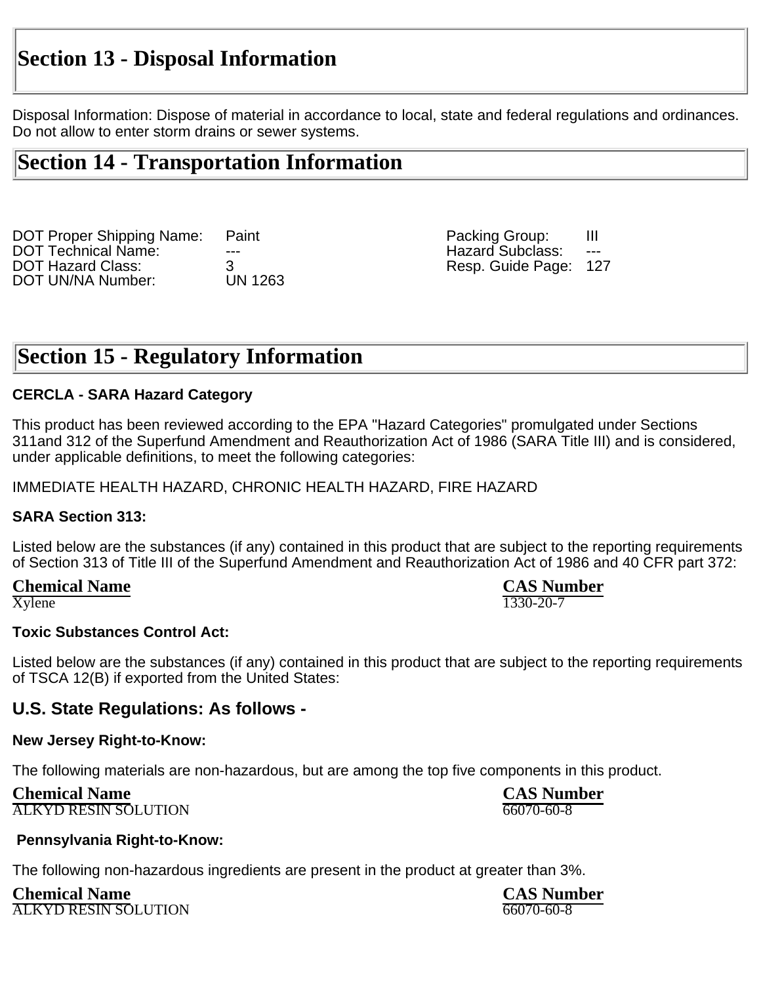## **Section 13 - Disposal Information**

Disposal Information: Dispose of material in accordance to local, state and federal regulations and ordinances. Do not allow to enter storm drains or sewer systems.

## **Section 14 - Transportation Information**

DOT Proper Shipping Name: Paint Packing Group: III DOT Technical Name: --- Hazard Subclass: --- DOT UN/NA Number:

3 Resp. Guide Page: 127<br>UN 1263

## **Section 15 - Regulatory Information**

#### **CERCLA - SARA Hazard Category**

This product has been reviewed according to the EPA "Hazard Categories" promulgated under Sections 311and 312 of the Superfund Amendment and Reauthorization Act of 1986 (SARA Title III) and is considered, under applicable definitions, to meet the following categories:

#### IMMEDIATE HEALTH HAZARD, CHRONIC HEALTH HAZARD, FIRE HAZARD

#### **SARA Section 313:**

Listed below are the substances (if any) contained in this product that are subject to the reporting requirements of Section 313 of Title III of the Superfund Amendment and Reauthorization Act of 1986 and 40 CFR part 372:

 $X$ ylene  $\overline{1330}$ -20-7

**Chemical Name**<br> **CAS Number**<br> **CAS Number**<br> **CAS Number**<br> **CAS Number** 

#### **Toxic Substances Control Act:**

Listed below are the substances (if any) contained in this product that are subject to the reporting requirements of TSCA 12(B) if exported from the United States:

#### **U.S. State Regulations: As follows -**

#### **New Jersey Right-to-Know:**

The following materials are non-hazardous, but are among the top five components in this product.

**Chemical Name CAS Number** ALKYD RESIN SOLUTION 66070-60-8

#### **Pennsylvania Right-to-Know:**

The following non-hazardous ingredients are present in the product at greater than 3%.

**Chemical Name CAS Number**<br> **CAS Number**<br>
<u>ALKYD RESIN SO</u>LUTION ALKYD RESIN SOLUTION 66070-60-8